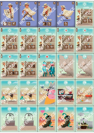